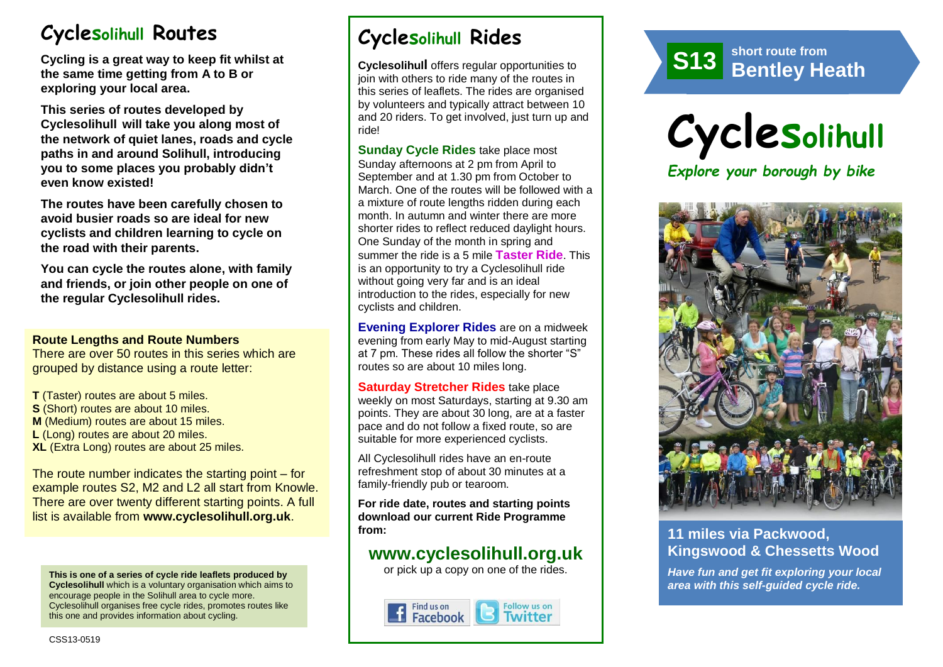# **Cyclesolihull Routes**

**Cycling is a great way to keep fit whilst at the same time getting from A to B or exploring your local area.** 

**This series of routes developed by Cyclesolihull will take you along most of the network of quiet lanes, roads and cycle paths in and around Solihull, introducing you to some places you probably didn't even know existed!**

**The routes have been carefully chosen to avoid busier roads so are ideal for new cyclists and children learning to cycle on the road with their parents.** 

**You can cycle the routes alone, with family and friends, or join other people on one of the regular Cyclesolihull rides.**

#### **Route Lengths and Route Numbers**

There are over 50 routes in this series which are grouped by distance using a route letter:

**T** (Taster) routes are about 5 miles. **S** (Short) routes are about 10 miles. **M** (Medium) routes are about 15 miles. **L** (Long) routes are about 20 miles. **XL** (Extra Long) routes are about 25 miles.

The route number indicates the starting point – for example routes S2, M2 and L2 all start from Knowle. There are over twenty different starting points. A full list is available from **www.cyclesolihull.org.uk**.

**This is one of a series of cycle ride leaflets produced by Cyclesolihull** which is a voluntary organisation which aims to encourage people in the Solihull area to cycle more. Cyclesolihull organises free cycle rides, promotes routes like this one and provides information about cycling.

# **Cyclesolihull Rides**

**Cyclesolihull** offers regular opportunities to join with others to ride many of the routes in this series of leaflets. The rides are organised by volunteers and typically attract between 10 and 20 riders. To get involved, just turn up and ride!

**Sunday Cycle Rides** take place most Sunday afternoons at 2 pm from April to September and at 1.30 pm from October to March. One of the routes will be followed with a a mixture of route lengths ridden during each month. In autumn and winter there are more shorter rides to reflect reduced daylight hours. One Sunday of the month in spring and summer the ride is a 5 mile **Taster Ride**. This is an opportunity to try a Cyclesolihull ride without going very far and is an ideal introduction to the rides, especially for new cyclists and children.

**Evening Explorer Rides** are on a midweek evening from early May to mid-August starting at 7 pm. These rides all follow the shorter "S" routes so are about 10 miles long.

**Saturday Stretcher Rides** take place weekly on most Saturdays, starting at 9.30 am points. They are about 30 long, are at a faster pace and do not follow a fixed route, so are suitable for more experienced cyclists.

All Cyclesolihull rides have an en-route refreshment stop of about 30 minutes at a family-friendly pub or tearoom.

**For ride date, routes and starting points download our current Ride Programme from:** 

## **www.cyclesolihull.org.uk**

or pick up a copy on one of the rides.







## **11 miles via Packwood, Kingswood & Chessetts Wood**

*Have fun and get fit exploring your local area with this self-guided cycle ride.*